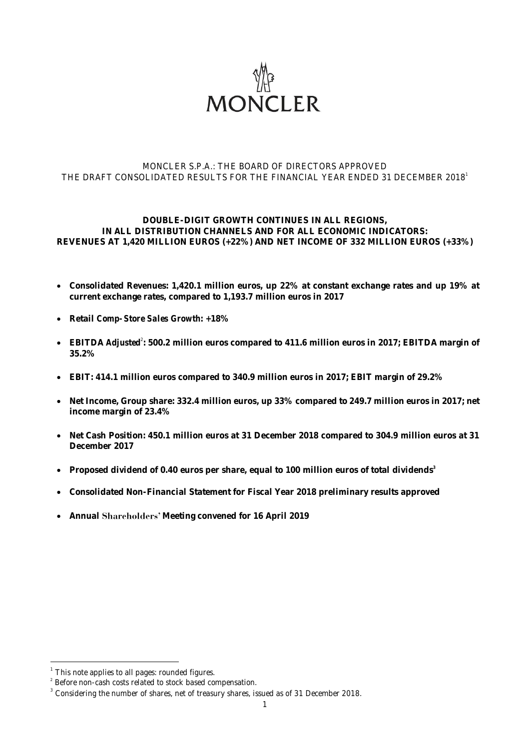

#### MONCLER S.P.A.: THE BOARD OF DIRECTORS APPROVED THE DRAFT CONSOLIDATED RESULTS FOR THE FINANCIAL YEAR ENDED 31 DECEMBER 2018<sup>1</sup>

#### **DOUBLE-DIGIT GROWTH CONTINUES IN ALL REGIONS, IN ALL DISTRIBUTION CHANNELS AND FOR ALL ECONOMIC INDICATORS: REVENUES AT 1,420 MILLION EUROS (+22%) AND NET INCOME OF 332 MILLION EUROS (+33%)**

- **Consolidated Revenues: 1,420.1 million euros, up 22% at constant exchange rates and up 19% at current exchange rates, compared to 1,193.7 million euros in 2017**
- **Retail** *Comp-Store Sales Growth***: +18%**
- EBITDA *Adjusted*<sup>2</sup>: 500.2 million euros compared to 411.6 million euros in 2017; EBITDA margin of **35.2%**
- **EBIT: 414.1 million euros compared to 340.9 million euros in 2017; EBIT margin of 29.2%**
- **Net Income, Group share: 332.4 million euros, up 33% compared to 249.7 million euros in 2017; net income margin of 23.4%**
- **Net Cash Position: 450.1 million euros at 31 December 2018 compared to 304.9 million euros at 31 December 2017**
- **Proposed dividend of 0.40 euros per share, equal to 100 million euros of total dividends 3**
- **Consolidated Non-Financial Statement for Fiscal Year 2018 preliminary results approved**
- Annual Shareholders' Meeting convened for 16 April 2019

1

 $1$  This note applies to all pages: rounded figures.

<sup>&</sup>lt;sup>2</sup> Before non-cash costs related to stock based compensation.

 $3$  Considering the number of shares, net of treasury shares, issued as of 31 December 2018.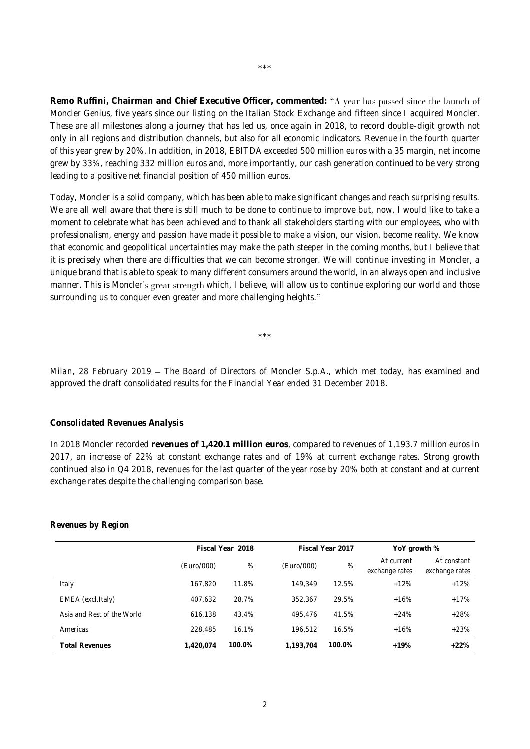**Remo Ruffini, Chairman and Chief Executive Officer, commented:** Moncler Genius, five years since our listing on the Italian Stock Exchange and fifteen since I acquired Moncler. These are all milestones along a journey that has led us, once again in 2018, to record double-digit growth not only in all regions and distribution channels, but also for all economic indicators. Revenue in the fourth quarter of this year grew by 20%. In addition, in 2018, EBITDA exceeded 500 million euros with a 35 margin, net income grew by 33%, reaching 332 million euros and, more importantly, our cash generation continued to be very strong leading to a positive net financial position of 450 million euros.

Today, Moncler is a solid company, which has been able to make significant changes and reach surprising results. We are all well aware that there is still much to be done to continue to improve but, now, I would like to take a moment to celebrate what has been achieved and to thank all stakeholders starting with our employees, who with professionalism, energy and passion have made it possible to make a vision, our vision, become reality. We know that economic and geopolitical uncertainties may make the path steeper in the coming months, but I believe that it is precisely when there are difficulties that we can become stronger. We will continue investing in Moncler, a unique brand that is able to speak to many different consumers around the world, in an always open and inclusive manner. This is Moncler's great strength which, I believe, will allow us to continue exploring our world and those surrounding us to conquer even greater and more challenging heights."

\*\*\*

*Milan, 28 February 2019* – The Board of Directors of Moncler S.p.A., which met today, has examined and approved the draft consolidated results for the Financial Year ended 31 December 2018.

#### **Consolidated Revenues Analysis**

In 2018 Moncler recorded **revenues of 1,420.1 million euros**, compared to revenues of 1,193.7 million euros in 2017, an increase of 22% at constant exchange rates and of 19% at current exchange rates. Strong growth continued also in Q4 2018, revenues for the last quarter of the year rose by 20% both at constant and at current exchange rates despite the challenging comparison base.

|                            | Fiscal Year 2018 |        | Fiscal Year 2017 |        | YoY growth %                 |                               |
|----------------------------|------------------|--------|------------------|--------|------------------------------|-------------------------------|
|                            | (Euro/000)       | %      | (Euro/000)       | %      | At current<br>exchange rates | At constant<br>exchange rates |
| Italy                      | 167.820          | 11.8%  | 149.349          | 12.5%  | $+12%$                       | $+12%$                        |
| EMEA (excl.Italy)          | 407,632          | 28.7%  | 352.367          | 29.5%  | $+16%$                       | $+17%$                        |
| Asia and Rest of the World | 616.138          | 43.4%  | 495.476          | 41.5%  | $+24%$                       | $+28%$                        |
| Americas                   | 228,485          | 16.1%  | 196.512          | 16.5%  | $+16%$                       | $+23%$                        |
| <b>Total Revenues</b>      | 1.420.074        | 100.0% | 1.193.704        | 100.0% | $+19%$                       | $+22%$                        |

#### *Revenues by Region*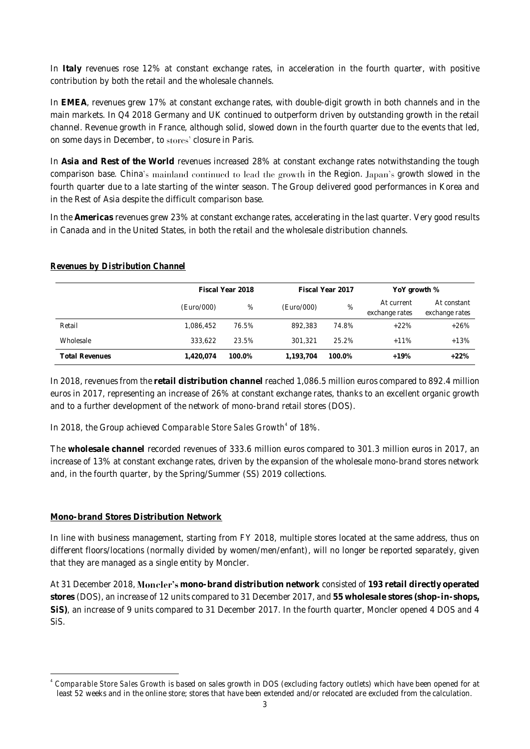In **Italy** revenues rose 12% at constant exchange rates, in acceleration in the fourth quarter, with positive contribution by both the retail and the wholesale channels.

In **EMEA**, revenues grew 17% at constant exchange rates, with double-digit growth in both channels and in the main markets. In Q4 2018 Germany and UK continued to outperform driven by outstanding growth in the retail channel. Revenue growth in France, although solid, slowed down in the fourth quarter due to the events that led, on some days in December, to stores' closure in Paris.

In **Asia and Rest of the World** revenues increased 28% at constant exchange rates notwithstanding the tough comparison base. China's mainland continued to lead the growth in the Region. Japan's growth slowed in the fourth quarter due to a late starting of the winter season. The Group delivered good performances in Korea and in the Rest of Asia despite the difficult comparison base.

In the **Americas** revenues grew 23% at constant exchange rates, accelerating in the last quarter. Very good results in Canada and in the United States, in both the retail and the wholesale distribution channels.

|                       | Fiscal Year 2018 |        | Fiscal Year 2017 |        | YoY growth %                 |                               |
|-----------------------|------------------|--------|------------------|--------|------------------------------|-------------------------------|
|                       | (Euro/000)       | %      | (Euro/000)       | %      | At current<br>exchange rates | At constant<br>exchange rates |
| Retail                | 1.086.452        | 76.5%  | 892.383          | 74.8%  | $+22%$                       | $+26%$                        |
| Wholesale             | 333.622          | 23.5%  | 301.321          | 25.2%  | $+11%$                       | $+13%$                        |
| <b>Total Revenues</b> | 1.420.074        | 100.0% | 1.193.704        | 100.0% | $+19%$                       | $+22%$                        |

#### *Revenues by Distribution Channel*

In 2018, revenues from the **retail distribution channel** reached 1,086.5 million euros compared to 892.4 million euros in 2017, representing an increase of 26% at constant exchange rates, thanks to an excellent organic growth and to a further development of the network of mono-brand retail stores (DOS).

#### In 2018, the Group achieved *Comparable Store Sales Growth*<sup>4</sup> of 18%.

The **wholesale channel** recorded revenues of 333.6 million euros compared to 301.3 million euros in 2017, an increase of 13% at constant exchange rates, driven by the expansion of the wholesale mono-brand stores network and, in the fourth quarter, by the Spring/Summer (SS) 2019 collections.

#### **Mono-brand Stores Distribution Network**

In line with business management, starting from FY 2018, multiple stores located at the same address, thus on different floors/locations (normally divided by women/men/enfant), will no longer be reported separately, given that they are managed as a single entity by Moncler.

At 31 December 2018, **mono-brand distribution network** consisted of **193 retail directly operated stores** (DOS), an increase of 12 units compared to 31 December 2017, and **55 wholesale stores (shop-in-shops, SiS)**, an increase of 9 units compared to 31 December 2017. In the fourth quarter, Moncler opened 4 DOS and 4 SiS.

<sup>1</sup> 4 *Comparable Store Sales Growth* is based on sales growth in DOS (excluding factory outlets) which have been opened for at least 52 weeks and in the online store; stores that have been extended and/or relocated are excluded from the calculation.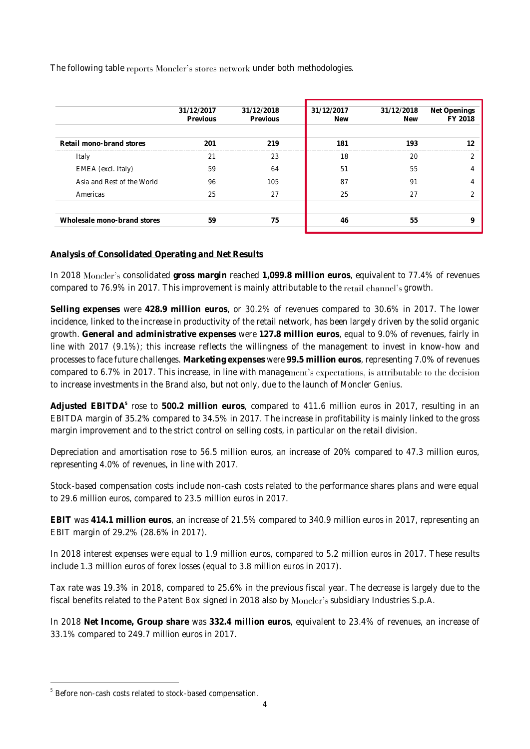The following table reports Moncler's stores network under both methodologies.

|                             | 31/12/2017 | 31/12/2018 | 31/12/2017 | 31/12/2018 | Net Openings |
|-----------------------------|------------|------------|------------|------------|--------------|
|                             | Previous   | Previous   | <b>New</b> | <b>New</b> | FY 2018      |
|                             |            |            |            |            |              |
| Retail mono-brand stores    | 201        | 219        | 181        | 193        |              |
| Italy                       | C.         | 23         | 18         | 20         |              |
| EMEA (excl. Italy)          | 59         | 64         | 51         | 55         |              |
| Asia and Rest of the World  | 96         | 105        | 87         | 91         |              |
| Americas                    | 25         | 27         | 25         | 27         |              |
|                             |            |            |            |            |              |
| Wholesale mono-brand stores | 59         | 75         | 46         | 55         |              |
|                             |            |            |            |            |              |

#### **Analysis of Consolidated Operating and Net Results**

In 2018 Moncler's consolidated gross margin reached 1,099.8 million euros, equivalent to 77.4% of revenues compared to 76.9% in 2017. This improvement is mainly attributable to the retail channel's growth.

**Selling expenses** were **428.9 million euros**, or 30.2% of revenues compared to 30.6% in 2017. The lower incidence, linked to the increase in productivity of the retail network, has been largely driven by the solid organic growth. **General and administrative expenses** were **127.8 million euros**, equal to 9.0% of revenues, fairly in line with 2017 (9.1%); this increase reflects the willingness of the management to invest in know-how and processes to face future challenges. **Marketing expenses** were **99.5 million euros**, representing 7.0% of revenues compared to 6.7% in 2017. This increase, in line with management's expectations, is attributable to the decision to increase investments in the Brand also, but not only, due to the launch of *Moncler Genius*.

**Adjusted EBITDA<sup>5</sup>** rose to **500.2 million euros**, compared to 411.6 million euros in 2017, resulting in an EBITDA margin of 35.2% compared to 34.5% in 2017. The increase in profitability is mainly linked to the gross margin improvement and to the strict control on selling costs, in particular on the retail division.

Depreciation and amortisation rose to 56.5 million euros, an increase of 20% compared to 47.3 million euros, representing 4.0% of revenues, in line with 2017.

Stock-based compensation costs include non-cash costs related to the performance shares plans and were equal to 29.6 million euros, compared to 23.5 million euros in 2017.

**EBIT** was **414.1 million euros**, an increase of 21.5% compared to 340.9 million euros in 2017, representing an EBIT margin of 29.2% (28.6% in 2017).

In 2018 interest expenses were equal to 1.9 million euros, compared to 5.2 million euros in 2017. These results include 1.3 million euros of forex losses (equal to 3.8 million euros in 2017).

Tax rate was 19.3% in 2018, compared to 25.6% in the previous fiscal year. The decrease is largely due to the fiscal benefits related to the *Patent Box* signed in 2018 also by Moncler's subsidiary Industries S.p.A.

In 2018 **Net Income, Group share** was **332.4 million euros**, equivalent to 23.4% of revenues, an increase of 33.1% compared to 249.7 million euros in 2017.

1

<sup>&</sup>lt;sup>5</sup> Before non-cash costs related to stock-based compensation.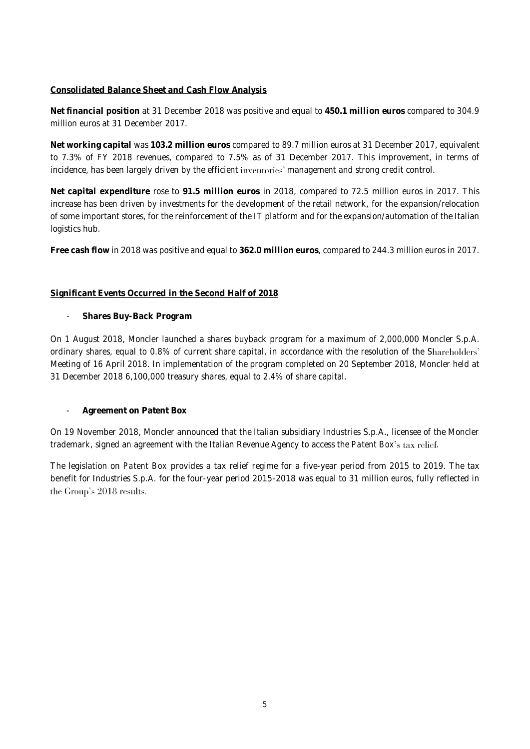#### **Consolidated Balance Sheet and Cash Flow Analysis**

**Net financial position** at 31 December 2018 was positive and equal to **450.1 million euros** compared to 304.9 million euros at 31 December 2017.

**Net working capital** was **103.2 million euros** compared to 89.7 million euros at 31 December 2017, equivalent to 7.3% of FY 2018 revenues, compared to 7.5% as of 31 December 2017. This improvement, in terms of incidence, has been largely driven by the efficient inventories' management and strong credit control.

**Net capital expenditure** rose to **91.5 million euros** in 2018, compared to 72.5 million euros in 2017. This increase has been driven by investments for the development of the retail network, for the expansion/relocation of some important stores, for the reinforcement of the IT platform and for the expansion/automation of the Italian logistics hub.

**Free cash flow** in 2018 was positive and equal to **362.0 million euros**, compared to 244.3 million euros in 2017.

#### **Significant Events Occurred in the Second Half of 2018**

- **Shares Buy-Back Program**

On 1 August 2018, Moncler launched a shares buyback program for a maximum of 2,000,000 Moncler S.p.A. ordinary shares, equal to 0.8% of current share capital, in accordance with the resolution of the Shareholders' Meeting of 16 April 2018. In implementation of the program completed on 20 September 2018, Moncler held at 31 December 2018 6,100,000 treasury shares, equal to 2.4% of share capital.

- **Agreement on Patent Box** 

On 19 November 2018, Moncler announced that the Italian subsidiary Industries S.p.A., licensee of the Moncler trademark, signed an agreement with the Italian Revenue Agency to access the *Patent Box's* tax relief.

The legislation on *Patent Box* provides a tax relief regime for a five-year period from 2015 to 2019. The tax benefit for Industries S.p.A. for the four-year period 2015-2018 was equal to 31 million euros, fully reflected in the Group's 2018 results.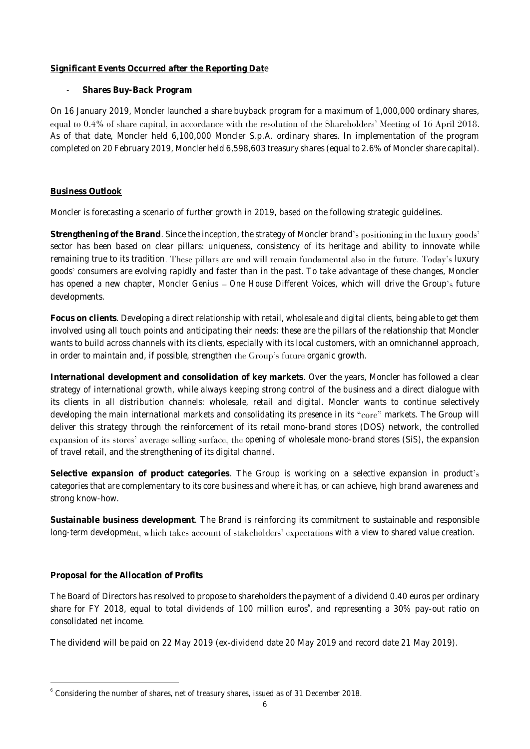#### **Significant Events Occurred after the Reporting Dat**e

- **Shares Buy-Back Program**

On 16 January 2019, Moncler launched a share buyback program for a maximum of 1,000,000 ordinary shares, equal to 0.4% of share capital, in accordance with the resolution of the Shareholders' Meeting of 16 April 2018. As of that date, Moncler held 6,100,000 Moncler S.p.A. ordinary shares. In implementation of the program completed on 20 February 2019, Moncler held 6,598,603 treasury shares (equal to 2.6% of Moncler share capital).

#### **Business Outlook**

Moncler is forecasting a scenario of further growth in 2019, based on the following strategic guidelines.

**Strengthening of the Brand**. Since the inception, the strategy of Moncler brand sector has been based on clear pillars: uniqueness, consistency of its heritage and ability to innovate while remaining true to its tradition. These pillars are and will remain fundamental also in the future. Today's luxury goods' consumers are evolving rapidly and faster than in the past. To take advantage of these changes, Moncler has opened a new chapter, *Moncler Genius - One House Different Voices*, which will drive the Group's future developments.

**Focus on clients**. Developing a direct relationship with retail, wholesale and digital clients, being able to get them involved using all touch points and anticipating their needs: these are the pillars of the relationship that Moncler wants to build across channels with its clients, especially with its local customers, with an omnichannel approach, in order to maintain and, if possible, strengthen the Group's future organic growth.

**International development and consolidation of key markets**. Over the years, Moncler has followed a clear strategy of international growth, while always keeping strong control of the business and a direct dialogue with its clients in all distribution channels: wholesale, retail and digital. Moncler wants to continue selectively developing the main international markets and consolidating its presence in its "core" markets. The Group will deliver this strategy through the reinforcement of its retail mono-brand stores (DOS) network, the controlled expansion of its stores' average selling surface, the opening of wholesale mono-brand stores (SiS), the expansion of travel retail, and the strengthening of its digital channel.

**Selective expansion of product categories**. The Group is working on a selective expansion in product categories that are complementary to its core business and where it has, or can achieve, high brand awareness and strong know-how.

**Sustainable business development**. The Brand is reinforcing its commitment to sustainable and responsible long-term development, which takes account of stakeholders' expectations with a view to shared value creation.

#### **Proposal for the Allocation of Profits**

1

The Board of Directors has resolved to propose to shareholders the payment of a dividend 0.40 euros per ordinary share for FY 2018, equal to total dividends of 100 million euros<sup>6</sup>, and representing a 30% pay-out ratio on consolidated net income.

The dividend will be paid on 22 May 2019 (ex-dividend date 20 May 2019 and record date 21 May 2019).

<sup>6</sup> Considering the number of shares, net of treasury shares, issued as of 31 December 2018.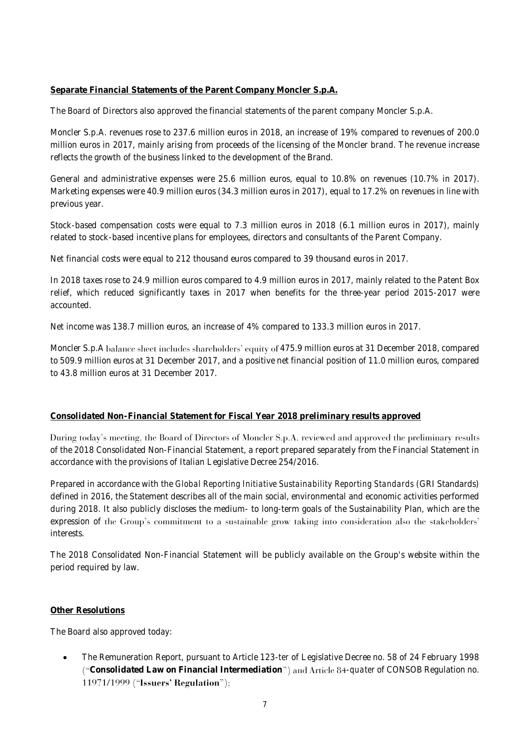#### **Separate Financial Statements of the Parent Company Moncler S.p.A.**

The Board of Directors also approved the financial statements of the parent company Moncler S.p.A.

Moncler S.p.A. revenues rose to 237.6 million euros in 2018, an increase of 19% compared to revenues of 200.0 million euros in 2017, mainly arising from proceeds of the licensing of the Moncler brand. The revenue increase reflects the growth of the business linked to the development of the Brand.

General and administrative expenses were 25.6 million euros, equal to 10.8% on revenues (10.7% in 2017). Marketing expenses were 40.9 million euros (34.3 million euros in 2017), equal to 17.2% on revenues in line with previous year.

Stock-based compensation costs were equal to 7.3 million euros in 2018 (6.1 million euros in 2017), mainly related to stock-based incentive plans for employees, directors and consultants of the Parent Company.

Net financial costs were equal to 212 thousand euros compared to 39 thousand euros in 2017.

In 2018 taxes rose to 24.9 million euros compared to 4.9 million euros in 2017, mainly related to the Patent Box relief, which reduced significantly taxes in 2017 when benefits for the three-year period 2015-2017 were accounted.

Net income was 138.7 million euros, an increase of 4% compared to 133.3 million euros in 2017.

Moncler S.p.A balance sheet includes shareholders' equity of 475.9 million euros at 31 December 2018, compared to 509.9 million euros at 31 December 2017, and a positive net financial position of 11.0 million euros, compared to 43.8 million euros at 31 December 2017.

#### **Consolidated Non-Financial Statement for Fiscal Year 2018 preliminary results approved**

During today's meeting, the Board of Directors of Moncler S.p.A. reviewed and approved the preliminary results of the 2018 Consolidated Non-Financial Statement, a report prepared separately from the Financial Statement in accordance with the provisions of Italian Legislative Decree 254/2016.

Prepared in accordance with the *Global Reporting Initiative Sustainability Reporting Standards* (GRI Standards) defined in 2016, the Statement describes all of the main social, environmental and economic activities performed during 2018. It also publicly discloses the medium- to long-term goals of the Sustainability Plan, which are the expression of the Group's commitment to a sustainable grow taking into consideration also the stakeholders' interests.

The 2018 Consolidated Non-Financial Statement will be publicly available on the Group's website within the period required by law.

#### **Other Resolutions**

The Board also approved today:

• The Remuneration Report, pursuant to Article 123-*ter* of Legislative Decree no. 58 of 24 February 1998 ("Consolidated Law on Financial Intermediation") and Article 84-quater of CONSOB Regulation no. 11971/1999 ("Issuers' Regulation");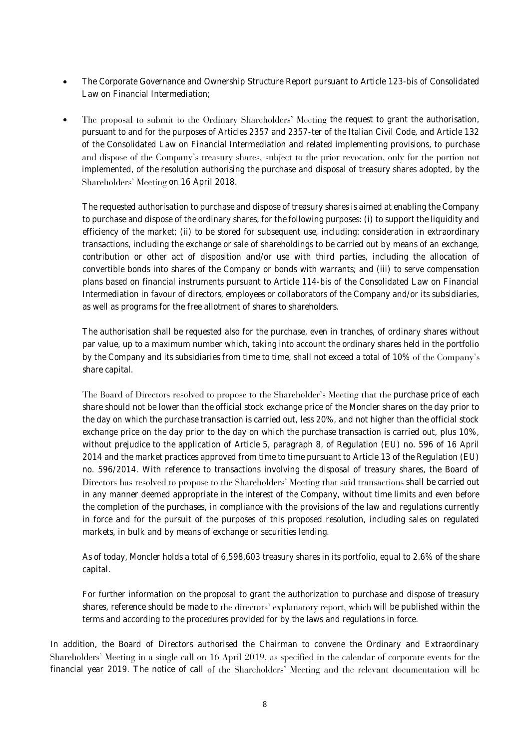- The Corporate Governance and Ownership Structure Report pursuant to Article 123-*bis* of Consolidated Law on Financial Intermediation;
- The proposal to submit to the Ordinary Shareholders' Meeting the request to grant the authorisation, pursuant to and for the purposes of Articles 2357 and 2357-ter of the Italian Civil Code, and Article 132 of the Consolidated Law on Financial Intermediation and related implementing provisions, to purchase and dispose of the Company's treasury shares, subject to the prior revocation, only for the portion not implemented, of the resolution authorising the purchase and disposal of treasury shares adopted, by the Shareholders' Meeting on 16 April 2018.

The requested authorisation to purchase and dispose of treasury shares is aimed at enabling the Company to purchase and dispose of the ordinary shares, for the following purposes: (i) to support the liquidity and efficiency of the market; (ii) to be stored for subsequent use, including: consideration in extraordinary transactions, including the exchange or sale of shareholdings to be carried out by means of an exchange, contribution or other act of disposition and/or use with third parties, including the allocation of convertible bonds into shares of the Company or bonds with warrants; and (iii) to serve compensation plans based on financial instruments pursuant to Article 114-*bis* of the Consolidated Law on Financial Intermediation in favour of directors, employees or collaborators of the Company and/or its subsidiaries, as well as programs for the free allotment of shares to shareholders.

The authorisation shall be requested also for the purchase, even in tranches, of ordinary shares without par value, up to a maximum number which, taking into account the ordinary shares held in the portfolio by the Company and its subsidiaries from time to time, shall not exceed a total of 10% of the Company's share capital.

The Board of Directors resolved to propose to the Shareholder's Meeting that the purchase price of each share should not be lower than the official stock exchange price of the Moncler shares on the day prior to the day on which the purchase transaction is carried out, less 20%, and not higher than the official stock exchange price on the day prior to the day on which the purchase transaction is carried out, plus 10%, without prejudice to the application of Article 5, paragraph 8, of Regulation (EU) no. 596 of 16 April 2014 and the market practices approved from time to time pursuant to Article 13 of the Regulation (EU) no. 596/2014. With reference to transactions involving the disposal of treasury shares, the Board of Directors has resolved to propose to the Shareholders' Meeting that said transactions shall be carried out in any manner deemed appropriate in the interest of the Company, without time limits and even before the completion of the purchases, in compliance with the provisions of the law and regulations currently in force and for the pursuit of the purposes of this proposed resolution, including sales on regulated markets, in bulk and by means of exchange or securities lending.

As of today, Moncler holds a total of 6,598,603 treasury shares in its portfolio, equal to 2.6% of the share capital.

For further information on the proposal to grant the authorization to purchase and dispose of treasury shares, reference should be made to the directors' explanatory report, which will be published within the terms and according to the procedures provided for by the laws and regulations in force.

In addition, the Board of Directors authorised the Chairman to convene the Ordinary and Extraordinary Shareholders' Meeting in a single call on 16 April 2019, as specified in the calendar of corporate events for the financial year 2019. The notice of call of the Shareholders' Meeting and the relevant documentation will be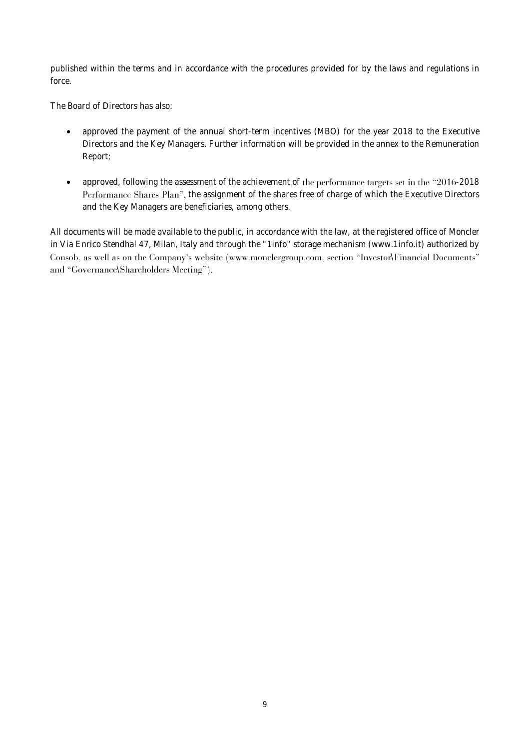published within the terms and in accordance with the procedures provided for by the laws and regulations in force.

The Board of Directors has also:

- approved the payment of the annual short-term incentives (MBO) for the year 2018 to the Executive Directors and the Key Managers. Further information will be provided in the annex to the Remuneration Report;
- approved, following the assessment of the achievement of the performance targets set in the " $2016$ -2018 Performance Shares Plan", the assignment of the shares free of charge of which the Executive Directors and the Key Managers are beneficiaries, among others.

All documents will be made available to the public, in accordance with the law, at the registered office of Moncler in Via Enrico Stendhal 47, Milan, Italy and through the "1info" storage mechanism (www.1info.it) authorized by Consob, as well as on the Company's website (www.monclergroup.com, section "Investor\Financial Documents" and "Governance\Shareholders Meeting").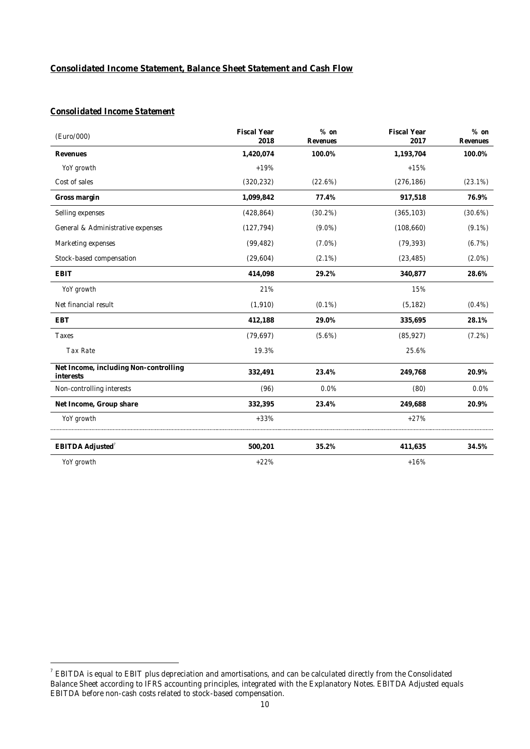#### **Consolidated Income Statement, Balance Sheet Statement and Cash Flow**

#### *Consolidated Income Statement*

| (Euro/000)                                         | Fiscal Year<br>2018 | $%$ on<br>Revenues | Fiscal Year<br>2017 | $%$ on<br>Revenues |
|----------------------------------------------------|---------------------|--------------------|---------------------|--------------------|
| Revenues                                           | 1,420,074           | 100.0%             | 1,193,704           | 100.0%             |
| YoY growth                                         | $+19%$              |                    | $+15%$              |                    |
| Cost of sales                                      | (320, 232)          | (22.6%)            | (276, 186)          | $(23.1\%)$         |
| Gross margin                                       | 1,099,842           | 77.4%              | 917,518             | 76.9%              |
| Selling expenses                                   | (428, 864)          | (30.2%)            | (365, 103)          | (30.6%)            |
| General & Administrative expenses                  | (127, 794)          | $(9.0\%)$          | (108,660)           | $(9.1\%)$          |
| Marketing expenses                                 | (99, 482)           | $(7.0\%)$          | (79, 393)           | (6.7%)             |
| Stock-based compensation                           | (29,604)            | $(2.1\%)$          | (23, 485)           | $(2.0\%)$          |
| EBIT                                               | 414,098             | 29.2%              | 340,877             | 28.6%              |
| YoY growth                                         | 21%                 |                    | 15%                 |                    |
| Net financial result                               | (1,910)             | $(0.1\%)$          | (5, 182)            | $(0.4\%)$          |
| EBT                                                | 412,188             | 29.0%              | 335,695             | 28.1%              |
| Taxes                                              | (79, 697)           | $(5.6\%)$          | (85, 927)           | (7.2%)             |
| Tax Rate                                           | 19.3%               |                    | 25.6%               |                    |
| Net Income, including Non-controlling<br>interests | 332,491             | 23.4%              | 249,768             | 20.9%              |
| Non-controlling interests                          | (96)                | 0.0%               | (80)                | $0.0\%$            |
| Net Income, Group share                            | 332,395             | 23.4%              | 249,688             | 20.9%              |
| YoY growth                                         | $+33%$              |                    | $+27%$              |                    |
| EBITDA Adjusted <sup>7</sup>                       | 500,201             | 35.2%              | 411,635             | 34.5%              |
| YoY growth                                         | $+22%$              |                    | $+16%$              |                    |

 7 EBITDA is equal to EBIT plus depreciation and amortisations, and can be calculated directly from the Consolidated Balance Sheet according to IFRS accounting principles, integrated with the Explanatory Notes. EBITDA Adjusted equals EBITDA before non-cash costs related to stock-based compensation.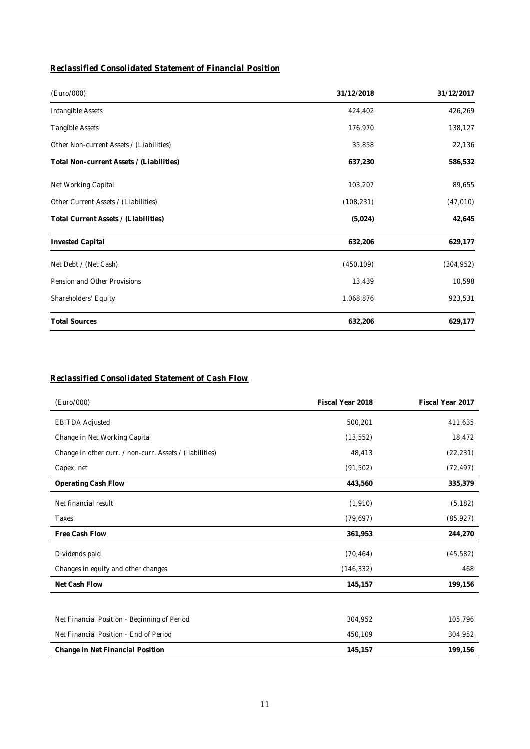# *Reclassified Consolidated Statement of Financial Position*

| (Euro/000)                               | 31/12/2018 | 31/12/2017 |
|------------------------------------------|------------|------------|
| Intangible Assets                        | 424,402    | 426,269    |
| Tangible Assets                          | 176,970    | 138,127    |
| Other Non-current Assets / (Liabilities) | 35,858     | 22,136     |
| Total Non-current Assets / (Liabilities) | 637,230    | 586,532    |
| Net Working Capital                      | 103,207    | 89,655     |
| Other Current Assets / (Liabilities)     | (108, 231) | (47,010)   |
| Total Current Assets / (Liabilities)     | (5,024)    | 42,645     |
| <b>Invested Capital</b>                  | 632,206    | 629,177    |
| Net Debt / (Net Cash)                    | (450, 109) | (304, 952) |
| Pension and Other Provisions             | 13,439     | 10,598     |
| Shareholders' Equity                     | 1,068,876  | 923,531    |
| <b>Total Sources</b>                     | 632,206    | 629,177    |

### *Reclassified Consolidated Statement of Cash Flow*

| (Euro/000)                                               | Fiscal Year 2018 | Fiscal Year 2017 |
|----------------------------------------------------------|------------------|------------------|
| <b>EBITDA Adjusted</b>                                   | 500,201          | 411,635          |
| Change in Net Working Capital                            | (13, 552)        | 18,472           |
| Change in other curr. / non-curr. Assets / (liabilities) | 48,413           | (22, 231)        |
| Capex, net                                               | (91, 502)        | (72, 497)        |
| Operating Cash Flow                                      | 443,560          | 335,379          |
| Net financial result                                     | (1, 910)         | (5, 182)         |
| Taxes                                                    | (79, 697)        | (85, 927)        |
| Free Cash Flow                                           | 361,953          | 244,270          |
| Dividends paid                                           | (70, 464)        | (45, 582)        |
| Changes in equity and other changes                      | (146, 332)       | 468              |
| Net Cash Flow                                            | 145,157          | 199,156          |
|                                                          |                  |                  |
| Net Financial Position - Beginning of Period             | 304,952          | 105,796          |
| Net Financial Position - End of Period                   | 450,109          | 304,952          |
| Change in Net Financial Position                         | 145,157          | 199,156          |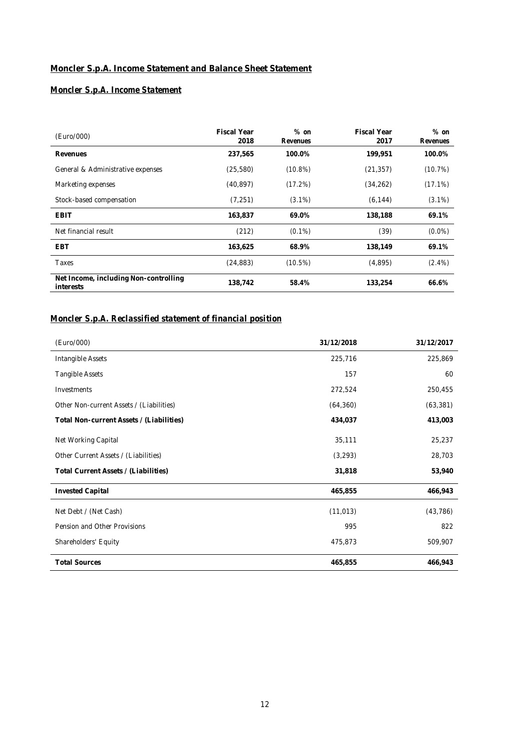# **Moncler S.p.A. Income Statement and Balance Sheet Statement**

# *Moncler S.p.A. Income Statement*

| (Euro/000)                                         | Fiscal Year<br>2018 | $%$ on<br>Revenues | Fiscal Year<br>2017 | $%$ on<br>Revenues |
|----------------------------------------------------|---------------------|--------------------|---------------------|--------------------|
| Revenues                                           | 237.565             | 100.0%             | 199,951             | 100.0%             |
| General & Administrative expenses                  | (25, 580)           | (10.8%)            | (21, 357)           | (10.7%)            |
| Marketing expenses                                 | (40, 897)           | (17.2%)            | (34, 262)           | $(17.1\%)$         |
| Stock-based compensation                           | (7, 251)            | $(3.1\%)$          | (6, 144)            | $(3.1\%)$          |
| EBIT                                               | 163,837             | 69.0%              | 138,188             | 69.1%              |
| Net financial result                               | (212)               | $(0.1\%)$          | (39)                | $(0.0\%)$          |
| <b>FBT</b>                                         | 163.625             | 68.9%              | 138.149             | 69.1%              |
| Taxes                                              | (24, 883)           | (10.5%)            | (4,895)             | $(2.4\%)$          |
| Net Income, including Non-controlling<br>interests | 138.742             | 58.4%              | 133,254             | 66.6%              |

## *Moncler S.p.A. Reclassified statement of financial position*

| (Euro/000)                               | 31/12/2018 | 31/12/2017 |
|------------------------------------------|------------|------------|
| Intangible Assets                        | 225,716    | 225,869    |
| Tangible Assets                          | 157        | 60         |
| Investments                              | 272,524    | 250,455    |
| Other Non-current Assets / (Liabilities) | (64, 360)  | (63, 381)  |
| Total Non-current Assets / (Liabilities) | 434,037    | 413,003    |
| Net Working Capital                      | 35,111     | 25,237     |
| Other Current Assets / (Liabilities)     | (3, 293)   | 28,703     |
| Total Current Assets / (Liabilities)     | 31,818     | 53,940     |
| <b>Invested Capital</b>                  | 465,855    | 466,943    |
| Net Debt / (Net Cash)                    | (11, 013)  | (43, 786)  |
| Pension and Other Provisions             | 995        | 822        |
| Shareholders' Equity                     | 475,873    | 509,907    |
| <b>Total Sources</b>                     | 465,855    | 466,943    |